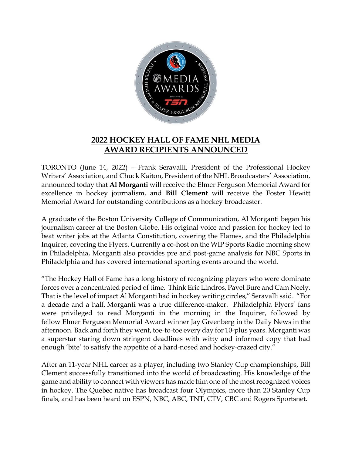

## **2022 HOCKEY HALL OF FAME NHL MEDIA AWARD RECIPIENTS ANNOUNCED**

TORONTO (June 14, 2022) – Frank Seravalli, President of the Professional Hockey Writers' Association, and Chuck Kaiton, President of the NHL Broadcasters' Association, announced today that **Al Morganti** will receive the Elmer Ferguson Memorial Award for excellence in hockey journalism, and **Bill Clement** will receive the Foster Hewitt Memorial Award for outstanding contributions as a hockey broadcaster.

A graduate of the Boston University College of Communication, Al Morganti began his journalism career at the Boston Globe. His original voice and passion for hockey led to beat writer jobs at the Atlanta Constitution, covering the Flames, and the Philadelphia Inquirer, covering the Flyers. Currently a co-host on the WIP Sports Radio morning show in Philadelphia, Morganti also provides pre and post-game analysis for NBC Sports in Philadelphia and has covered international sporting events around the world.

"The Hockey Hall of Fame has a long history of recognizing players who were dominate forces over a concentrated period of time. Think Eric Lindros, Pavel Bure and Cam Neely. That is the level of impact Al Morganti had in hockey writing circles," Seravalli said. "For a decade and a half, Morganti was a true difference-maker. Philadelphia Flyers' fans were privileged to read Morganti in the morning in the Inquirer, followed by fellow Elmer Ferguson Memorial Award winner Jay Greenberg in the Daily News in the afternoon. Back and forth they went, toe-to-toe every day for 10-plus years. Morganti was a superstar staring down stringent deadlines with witty and informed copy that had enough 'bite' to satisfy the appetite of a hard-nosed and hockey-crazed city."

After an 11-year NHL career as a player, including two Stanley Cup championships, Bill Clement successfully transitioned into the world of broadcasting. His knowledge of the game and ability to connect with viewers has made him one of the most recognized voices in hockey. The Quebec native has broadcast four Olympics, more than 20 Stanley Cup finals, and has been heard on ESPN, NBC, ABC, TNT, CTV, CBC and Rogers Sportsnet.